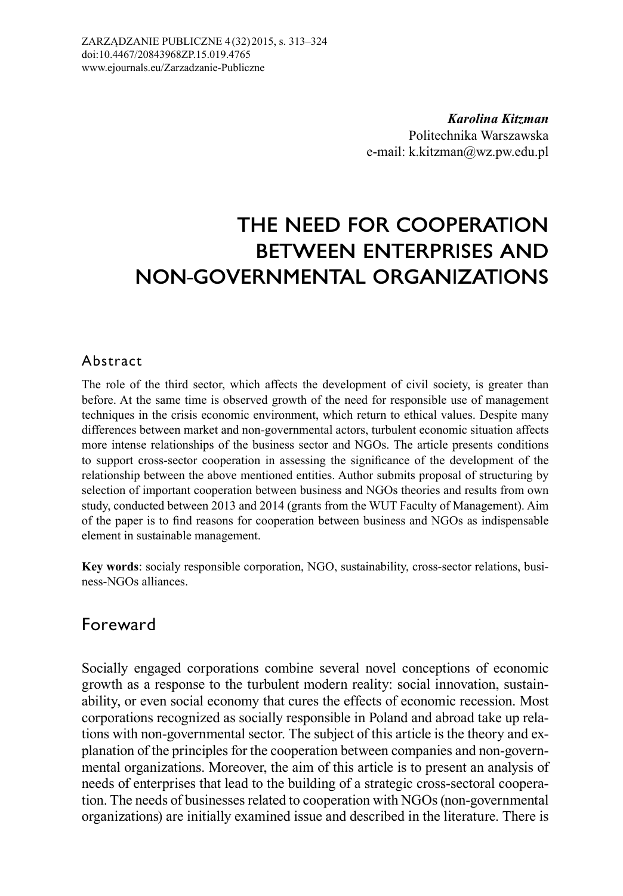*Karolina Kitzman* Politechnika Warszawska e-mail: k.kitzman@wz.pw.edu.pl

# **THE NEED FOR COOPERATION BETWEEN ENTERPRISES AND NON-GOVERNMENTAL ORGANIZATIONS**

#### Abstract

The role of the third sector, which affects the development of civil society, is greater than before. At the same time is observed growth of the need for responsible use of management techniques in the crisis economic environment, which return to ethical values. Despite many differences between market and non-governmental actors, turbulent economic situation affects more intense relationships of the business sector and NGOs. The article presents conditions to support cross-sector cooperation in assessing the significance of the development of the relationship between the above mentioned entities. Author submits proposal of structuring by selection of important cooperation between business and NGOs theories and results from own study, conducted between 2013 and 2014 (grants from the WUT Faculty of Management). Aim of the paper is to find reasons for cooperation between business and NGOs as indispensable element in sustainable management.

**Key words**: socialy responsible corporation, NGO, sustainability, cross-sector relations, business-NGOs alliances.

## Foreward

Socially engaged corporations combine several novel conceptions of economic growth as a response to the turbulent modern reality: social innovation, sustainability, or even social economy that cures the effects of economic recession. Most corporations recognized as socially responsible in Poland and abroad take up relations with non-governmental sector. The subject of this article is the theory and explanation of the principles for the cooperation between companies and non-governmental organizations. Moreover, the aim of this article is to present an analysis of needs of enterprises that lead to the building of a strategic cross-sectoral cooperation. The needs of businesses related to cooperation with NGOs (non-governmental organizations) are initially examined issue and described in the literature. There is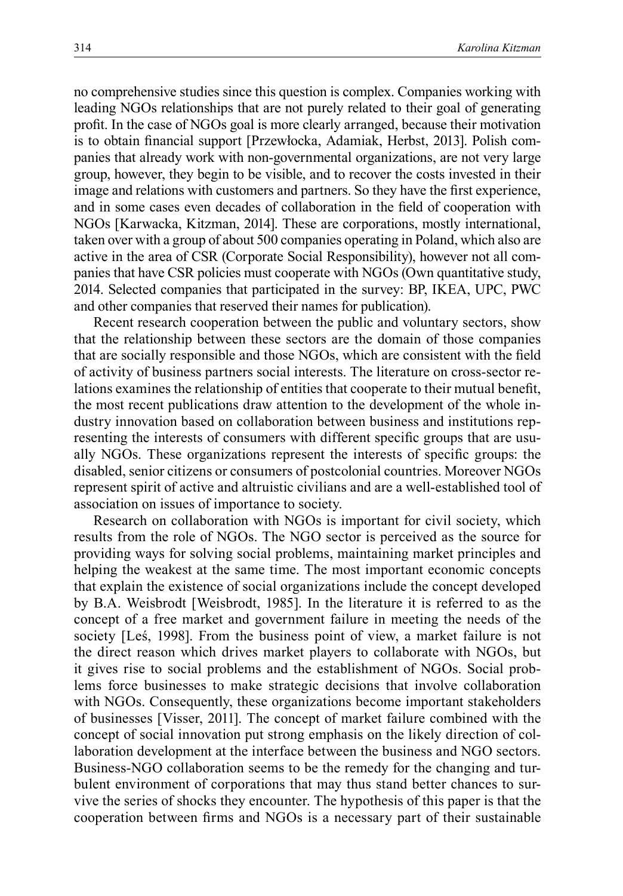no comprehensive studies since this question is complex. Companies working with leading NGOs relationships that are not purely related to their goal of generating profit. In the case of NGOs goal is more clearly arranged, because their motivation is to obtain financial support [Przewłocka, Adamiak, Herbst, 2013]. Polish companies that already work with non-governmental organizations, are not very large group, however, they begin to be visible, and to recover the costs invested in their image and relations with customers and partners. So they have the first experience, and in some cases even decades of collaboration in the field of cooperation with NGOs [Karwacka, Kitzman, 2014]. These are corporations, mostly international, taken over with a group of about 500 companies operating in Poland, which also are active in the area of CSR (Corporate Social Responsibility), however not all companies that have CSR policies must cooperate with NGOs (Own quantitative study, 2014. Selected companies that participated in the survey: BP, IKEA, UPC, PWC and other companies that reserved their names for publication).

Recent research cooperation between the public and voluntary sectors, show that the relationship between these sectors are the domain of those companies that are socially responsible and those NGOs, which are consistent with the field of activity of business partners social interests. The literature on cross-sector relations examines the relationship of entities that cooperate to their mutual benefit, the most recent publications draw attention to the development of the whole industry innovation based on collaboration between business and institutions representing the interests of consumers with different specific groups that are usually NGOs. These organizations represent the interests of specific groups: the disabled, senior citizens or consumers of postcolonial countries. Moreover NGOs represent spirit of active and altruistic civilians and are a well-established tool of association on issues of importance to society.

Research on collaboration with NGOs is important for civil society, which results from the role of NGOs. The NGO sector is perceived as the source for providing ways for solving social problems, maintaining market principles and helping the weakest at the same time. The most important economic concepts that explain the existence of social organizations include the concept developed by B.A. Weisbrodt [Weisbrodt, 1985]. In the literature it is referred to as the concept of a free market and government failure in meeting the needs of the society [Leś, 1998]. From the business point of view, a market failure is not the direct reason which drives market players to collaborate with NGOs, but it gives rise to social problems and the establishment of NGOs. Social problems force businesses to make strategic decisions that involve collaboration with NGOs. Consequently, these organizations become important stakeholders of businesses [Visser, 2011]. The concept of market failure combined with the concept of social innovation put strong emphasis on the likely direction of collaboration development at the interface between the business and NGO sectors. Business-NGO collaboration seems to be the remedy for the changing and turbulent environment of corporations that may thus stand better chances to survive the series of shocks they encounter. The hypothesis of this paper is that the cooperation between firms and NGOs is a necessary part of their sustainable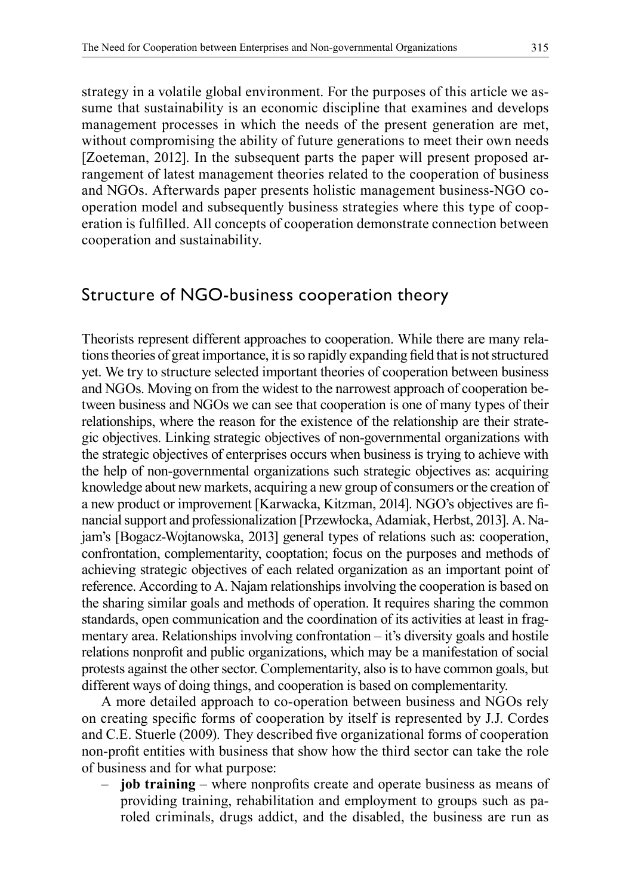strategy in a volatile global environment. For the purposes of this article we assume that sustainability is an economic discipline that examines and develops management processes in which the needs of the present generation are met, without compromising the ability of future generations to meet their own needs [Zoeteman, 2012]. In the subsequent parts the paper will present proposed arrangement of latest management theories related to the cooperation of business and NGOs. Afterwards paper presents holistic management business-NGO cooperation model and subsequently business strategies where this type of cooperation is fulfilled. All concepts of cooperation demonstrate connection between cooperation and sustainability.

## Structure of NGO-business cooperation theory

Theorists represent different approaches to cooperation. While there are many relations theories of great importance, it is so rapidly expanding field that is not structured yet. We try to structure selected important theories of cooperation between business and NGOs. Moving on from the widest to the narrowest approach of cooperation between business and NGOs we can see that cooperation is one of many types of their relationships, where the reason for the existence of the relationship are their strategic objectives. Linking strategic objectives of non-governmental organizations with the strategic objectives of enterprises occurs when business is trying to achieve with the help of non-governmental organizations such strategic objectives as: acquiring knowledge about new markets, acquiring a new group of consumers or the creation of a new product or improvement [Karwacka, Kitzman, 2014]. NGO's objectives are financial support and professionalization [Przewłocka, Adamiak, Herbst, 2013]. A. Najam's [Bogacz-Wojtanowska, 2013] general types of relations such as: cooperation, confrontation, complementarity, cooptation; focus on the purposes and methods of achieving strategic objectives of each related organization as an important point of reference. According to A. Najam relationships involving the cooperation is based on the sharing similar goals and methods of operation. It requires sharing the common standards, open communication and the coordination of its activities at least in fragmentary area. Relationships involving confrontation – it's diversity goals and hostile relations nonprofit and public organizations, which may be a manifestation of social protests against the other sector. Complementarity, also is to have common goals, but different ways of doing things, and cooperation is based on complementarity.

A more detailed approach to co-operation between business and NGOs rely on creating specific forms of cooperation by itself is represented by J.J. Cordes and C.E. Stuerle (2009). They described five organizational forms of cooperation non-profit entities with business that show how the third sector can take the role of business and for what purpose:

– **job training** – where nonprofits create and operate business as means of providing training, rehabilitation and employment to groups such as paroled criminals, drugs addict, and the disabled, the business are run as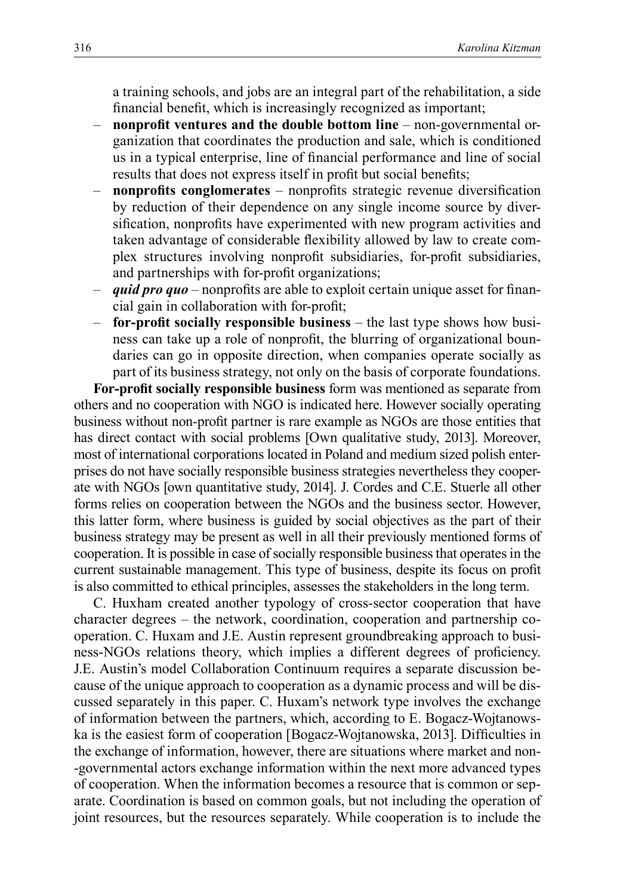a training schools, and jobs are an integral part of the rehabilitation, a side financial benefit, which is increasingly recognized as important;

- **nonprofit ventures and the double bottom line** non-governmental organization that coordinates the production and sale, which is conditioned us in a typical enterprise, line of financial performance and line of social results that does not express itself in profit but social benefits;
- **nonprofits conglomerates** nonprofits strategic revenue diversification by reduction of their dependence on any single income source by diversification, nonprofits have experimented with new program activities and taken advantage of considerable flexibility allowed by law to create complex structures involving nonprofit subsidiaries, for-profit subsidiaries, and partnerships with for-profit organizations;
- *quid pro quo* nonprofits are able to exploit certain unique asset for financial gain in collaboration with for-profit;
- **for-profit socially responsible business** the last type shows how business can take up a role of nonprofit, the blurring of organizational boundaries can go in opposite direction, when companies operate socially as part of its business strategy, not only on the basis of corporate foundations.

**For-profit socially responsible business** form was mentioned as separate from others and no cooperation with NGO is indicated here. However socially operating business without non-profit partner is rare example as NGOs are those entities that has direct contact with social problems [Own qualitative study, 2013]. Moreover, most of international corporations located in Poland and medium sized polish enterprises do not have socially responsible business strategies nevertheless they cooperate with NGOs [own quantitative study, 2014]. J. Cordes and C.E. Stuerle all other forms relies on cooperation between the NGOs and the business sector. However, this latter form, where business is guided by social objectives as the part of their business strategy may be present as well in all their previously mentioned forms of cooperation. It is possible in case of socially responsible business that operates in the current sustainable management. This type of business, despite its focus on profit is also committed to ethical principles, assesses the stakeholders in the long term.

C. Huxham created another typology of cross-sector cooperation that have character degrees – the network, coordination, cooperation and partnership cooperation. C. Huxam and J.E. Austin represent groundbreaking approach to business-NGOs relations theory, which implies a different degrees of proficiency. J.E. Austin's model Collaboration Continuum requires a separate discussion because of the unique approach to cooperation as a dynamic process and will be discussed separately in this paper. C. Huxam's network type involves the exchange of information between the partners, which, according to E. Bogacz-Wojtanowska is the easiest form of cooperation [Bogacz-Wojtanowska, 2013]. Difficulties in the exchange of information, however, there are situations where market and non- -governmental actors exchange information within the next more advanced types of cooperation. When the information becomes a resource that is common or separate. Coordination is based on common goals, but not including the operation of joint resources, but the resources separately. While cooperation is to include the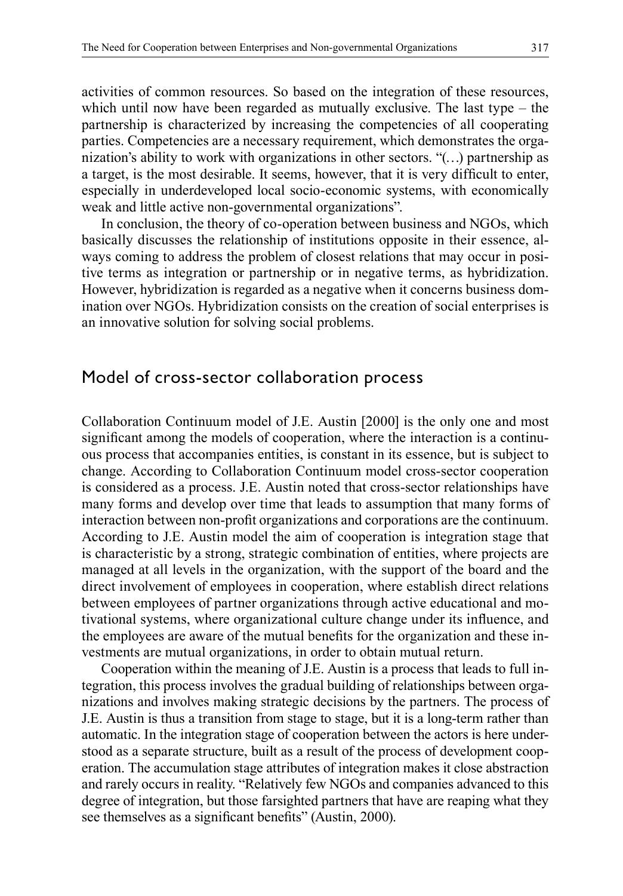activities of common resources. So based on the integration of these resources, which until now have been regarded as mutually exclusive. The last type – the partnership is characterized by increasing the competencies of all cooperating parties. Competencies are a necessary requirement, which demonstrates the organization's ability to work with organizations in other sectors. "(…) partnership as a target, is the most desirable. It seems, however, that it is very difficult to enter, especially in underdeveloped local socio-economic systems, with economically weak and little active non-governmental organizations".

In conclusion, the theory of co-operation between business and NGOs, which basically discusses the relationship of institutions opposite in their essence, always coming to address the problem of closest relations that may occur in positive terms as integration or partnership or in negative terms, as hybridization. However, hybridization is regarded as a negative when it concerns business domination over NGOs. Hybridization consists on the creation of social enterprises is an innovative solution for solving social problems.

### Model of cross-sector collaboration process

Collaboration Continuum model of J.E. Austin [2000] is the only one and most significant among the models of cooperation, where the interaction is a continuous process that accompanies entities, is constant in its essence, but is subject to change. According to Collaboration Continuum model cross-sector cooperation is considered as a process. J.E. Austin noted that cross-sector relationships have many forms and develop over time that leads to assumption that many forms of interaction between non-profit organizations and corporations are the continuum. According to J.E. Austin model the aim of cooperation is integration stage that is characteristic by a strong, strategic combination of entities, where projects are managed at all levels in the organization, with the support of the board and the direct involvement of employees in cooperation, where establish direct relations between employees of partner organizations through active educational and motivational systems, where organizational culture change under its influence, and the employees are aware of the mutual benefits for the organization and these investments are mutual organizations, in order to obtain mutual return.

Cooperation within the meaning of J.E. Austin is a process that leads to full integration, this process involves the gradual building of relationships between organizations and involves making strategic decisions by the partners. The process of J.E. Austin is thus a transition from stage to stage, but it is a long-term rather than automatic. In the integration stage of cooperation between the actors is here understood as a separate structure, built as a result of the process of development cooperation. The accumulation stage attributes of integration makes it close abstraction and rarely occurs in reality. "Relatively few NGOs and companies advanced to this degree of integration, but those farsighted partners that have are reaping what they see themselves as a significant benefits" (Austin, 2000).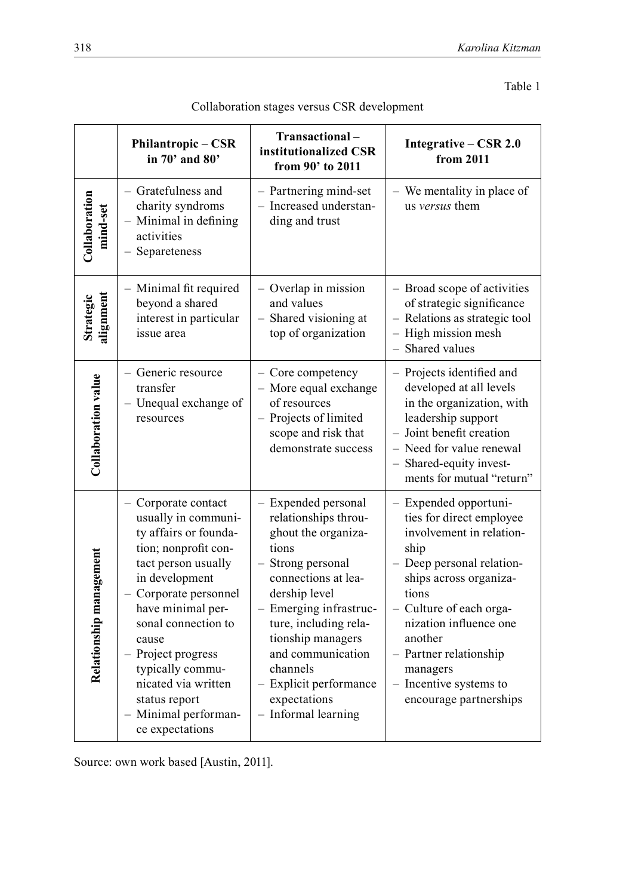|                            | Philantropic – CSR<br>in 70' and 80'                                                                                                                                                                                                                                                                                                            | Transactional-<br>institutionalized CSR<br>from 90' to 2011                                                                                                                                                                                                                                                        | Integrative - CSR 2.0<br>from 2011                                                                                                                                                                                                                                                                              |
|----------------------------|-------------------------------------------------------------------------------------------------------------------------------------------------------------------------------------------------------------------------------------------------------------------------------------------------------------------------------------------------|--------------------------------------------------------------------------------------------------------------------------------------------------------------------------------------------------------------------------------------------------------------------------------------------------------------------|-----------------------------------------------------------------------------------------------------------------------------------------------------------------------------------------------------------------------------------------------------------------------------------------------------------------|
| Collaboration<br>mind-set  | - Gratefulness and<br>charity syndroms<br>- Minimal in defining<br>activities<br>- Separeteness                                                                                                                                                                                                                                                 | - Partnering mind-set<br>- Increased understan-<br>ding and trust                                                                                                                                                                                                                                                  | - We mentality in place of<br>us versus them                                                                                                                                                                                                                                                                    |
| alignment<br>Strategic     | - Minimal fit required<br>beyond a shared<br>interest in particular<br>issue area                                                                                                                                                                                                                                                               | Overlap in mission<br>and values<br>- Shared visioning at<br>top of organization                                                                                                                                                                                                                                   | - Broad scope of activities<br>of strategic significance<br>- Relations as strategic tool<br>- High mission mesh<br>- Shared values                                                                                                                                                                             |
| <b>Collaboration value</b> | - Generic resource<br>transfer<br>- Unequal exchange of<br>resources                                                                                                                                                                                                                                                                            | - Core competency<br>- More equal exchange<br>of resources<br>- Projects of limited<br>scope and risk that<br>demonstrate success                                                                                                                                                                                  | - Projects identified and<br>developed at all levels<br>in the organization, with<br>leadership support<br>- Joint benefit creation<br>- Need for value renewal<br>- Shared-equity invest-<br>ments for mutual "return"                                                                                         |
| Relationship management    | - Corporate contact<br>usually in communi-<br>ty affairs or founda-<br>tion; nonprofit con-<br>tact person usually<br>in development<br>- Corporate personnel<br>have minimal per-<br>sonal connection to<br>cause<br>- Project progress<br>typically commu-<br>nicated via written<br>status report<br>- Minimal performan-<br>ce expectations | - Expended personal<br>relationships throu-<br>ghout the organiza-<br>tions<br>- Strong personal<br>connections at lea-<br>dership level<br>- Emerging infrastruc-<br>ture, including rela-<br>tionship managers<br>and communication<br>channels<br>- Explicit performance<br>expectations<br>- Informal learning | - Expended opportuni-<br>ties for direct employee<br>involvement in relation-<br>ship<br>- Deep personal relation-<br>ships across organiza-<br>tions<br>- Culture of each orga-<br>nization influence one<br>another<br>- Partner relationship<br>managers<br>- Incentive systems to<br>encourage partnerships |

| Collaboration stages versus CSR development |  |
|---------------------------------------------|--|
|---------------------------------------------|--|

Source: own work based [Austin, 2011].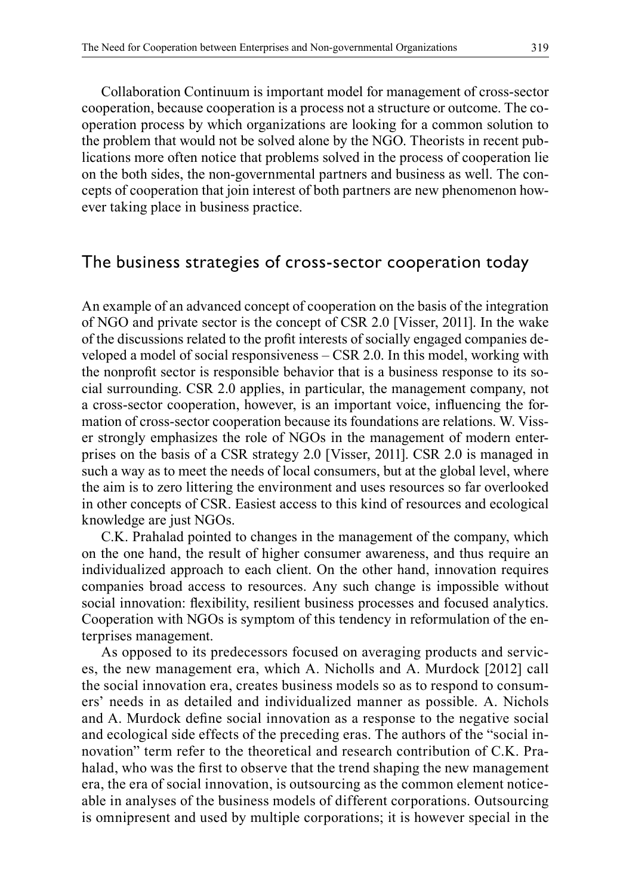Collaboration Continuum is important model for management of cross-sector cooperation, because cooperation is a process not a structure or outcome. The cooperation process by which organizations are looking for a common solution to the problem that would not be solved alone by the NGO. Theorists in recent publications more often notice that problems solved in the process of cooperation lie on the both sides, the non-governmental partners and business as well. The concepts of cooperation that join interest of both partners are new phenomenon however taking place in business practice.

## The business strategies of cross-sector cooperation today

An example of an advanced concept of cooperation on the basis of the integration of NGO and private sector is the concept of CSR 2.0 [Visser, 2011]. In the wake of the discussions related to the profit interests of socially engaged companies developed a model of social responsiveness – CSR 2.0. In this model, working with the nonprofit sector is responsible behavior that is a business response to its social surrounding. CSR 2.0 applies, in particular, the management company, not a cross-sector cooperation, however, is an important voice, influencing the formation of cross-sector cooperation because its foundations are relations. W. Visser strongly emphasizes the role of NGOs in the management of modern enterprises on the basis of a CSR strategy 2.0 [Visser, 2011]. CSR 2.0 is managed in such a way as to meet the needs of local consumers, but at the global level, where the aim is to zero littering the environment and uses resources so far overlooked in other concepts of CSR. Easiest access to this kind of resources and ecological knowledge are just NGOs.

C.K. Prahalad pointed to changes in the management of the company, which on the one hand, the result of higher consumer awareness, and thus require an individualized approach to each client. On the other hand, innovation requires companies broad access to resources. Any such change is impossible without social innovation: flexibility, resilient business processes and focused analytics. Cooperation with NGOs is symptom of this tendency in reformulation of the enterprises management.

As opposed to its predecessors focused on averaging products and services, the new management era, which A. Nicholls and A. Murdock [2012] call the social innovation era, creates business models so as to respond to consumers' needs in as detailed and individualized manner as possible. A. Nichols and A. Murdock define social innovation as a response to the negative social and ecological side effects of the preceding eras. The authors of the "social innovation" term refer to the theoretical and research contribution of C.K. Prahalad, who was the first to observe that the trend shaping the new management era, the era of social innovation, is outsourcing as the common element noticeable in analyses of the business models of different corporations. Outsourcing is omnipresent and used by multiple corporations; it is however special in the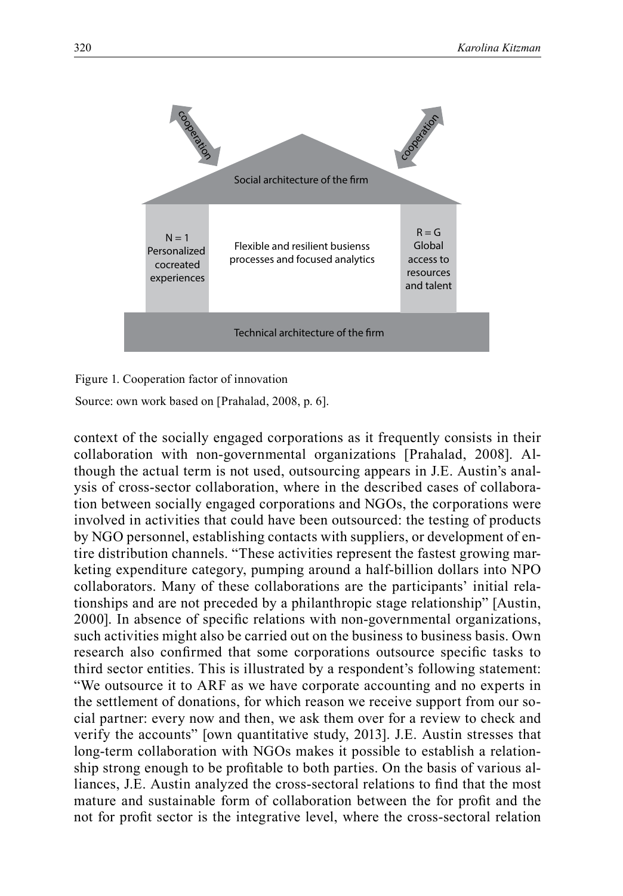

Figure 1. Cooperation factor of innovation

Source: own work based on [Prahalad, 2008, p. 6].

context of the socially engaged corporations as it frequently consists in their collaboration with non-governmental organizations [Prahalad, 2008]. Although the actual term is not used, outsourcing appears in J.E. Austin's analysis of cross-sector collaboration, where in the described cases of collaboration between socially engaged corporations and NGOs, the corporations were involved in activities that could have been outsourced: the testing of products by NGO personnel, establishing contacts with suppliers, or development of entire distribution channels. "These activities represent the fastest growing marketing expenditure category, pumping around a half-billion dollars into NPO collaborators. Many of these collaborations are the participants' initial relationships and are not preceded by a philanthropic stage relationship" [Austin, 2000]. In absence of specific relations with non-governmental organizations, such activities might also be carried out on the business to business basis. Own research also confirmed that some corporations outsource specific tasks to third sector entities. This is illustrated by a respondent's following statement: "We outsource it to ARF as we have corporate accounting and no experts in the settlement of donations, for which reason we receive support from our social partner: every now and then, we ask them over for a review to check and verify the accounts" [own quantitative study, 2013]. J.E. Austin stresses that long-term collaboration with NGOs makes it possible to establish a relationship strong enough to be profitable to both parties. On the basis of various alliances, J.E. Austin analyzed the cross-sectoral relations to find that the most mature and sustainable form of collaboration between the for profit and the not for profit sector is the integrative level, where the cross-sectoral relation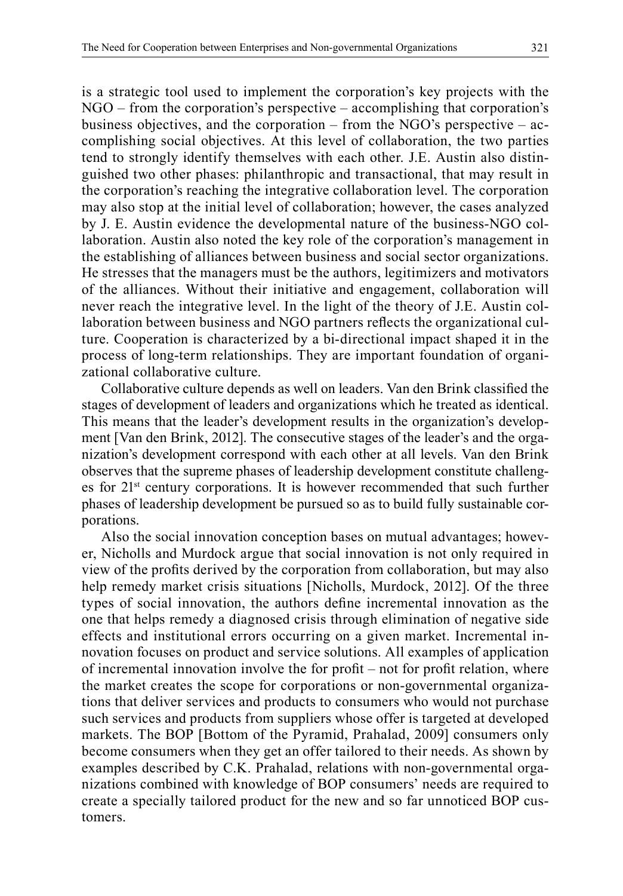is a strategic tool used to implement the corporation's key projects with the NGO – from the corporation's perspective – accomplishing that corporation's business objectives, and the corporation – from the NGO's perspective – accomplishing social objectives. At this level of collaboration, the two parties tend to strongly identify themselves with each other. J.E. Austin also distinguished two other phases: philanthropic and transactional, that may result in the corporation's reaching the integrative collaboration level. The corporation may also stop at the initial level of collaboration; however, the cases analyzed by J. E. Austin evidence the developmental nature of the business-NGO collaboration. Austin also noted the key role of the corporation's management in the establishing of alliances between business and social sector organizations. He stresses that the managers must be the authors, legitimizers and motivators of the alliances. Without their initiative and engagement, collaboration will never reach the integrative level. In the light of the theory of J.E. Austin collaboration between business and NGO partners reflects the organizational culture. Cooperation is characterized by a bi-directional impact shaped it in the process of long-term relationships. They are important foundation of organizational collaborative culture.

Collaborative culture depends as well on leaders. Van den Brink classified the stages of development of leaders and organizations which he treated as identical. This means that the leader's development results in the organization's development [Van den Brink, 2012]. The consecutive stages of the leader's and the organization's development correspond with each other at all levels. Van den Brink observes that the supreme phases of leadership development constitute challenges for 21st century corporations. It is however recommended that such further phases of leadership development be pursued so as to build fully sustainable corporations.

Also the social innovation conception bases on mutual advantages; however, Nicholls and Murdock argue that social innovation is not only required in view of the profits derived by the corporation from collaboration, but may also help remedy market crisis situations [Nicholls, Murdock, 2012]. Of the three types of social innovation, the authors define incremental innovation as the one that helps remedy a diagnosed crisis through elimination of negative side effects and institutional errors occurring on a given market. Incremental innovation focuses on product and service solutions. All examples of application of incremental innovation involve the for profit – not for profit relation, where the market creates the scope for corporations or non-governmental organizations that deliver services and products to consumers who would not purchase such services and products from suppliers whose offer is targeted at developed markets. The BOP [Bottom of the Pyramid, Prahalad, 2009] consumers only become consumers when they get an offer tailored to their needs. As shown by examples described by C.K. Prahalad, relations with non-governmental organizations combined with knowledge of BOP consumers' needs are required to create a specially tailored product for the new and so far unnoticed BOP customers.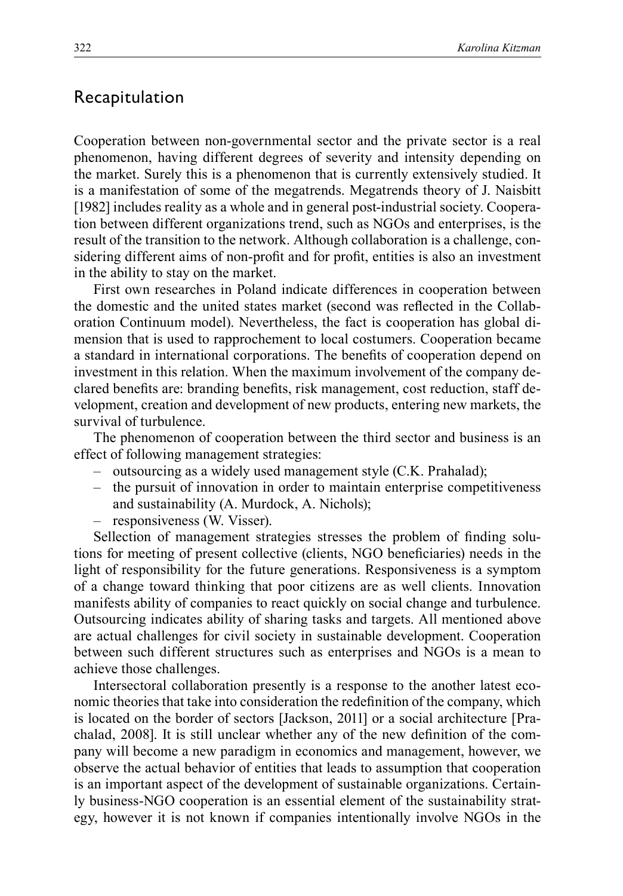### Recapitulation

Cooperation between non-governmental sector and the private sector is a real phenomenon, having different degrees of severity and intensity depending on the market. Surely this is a phenomenon that is currently extensively studied. It is a manifestation of some of the megatrends. Megatrends theory of J. Naisbitt [1982] includes reality as a whole and in general post-industrial society. Cooperation between different organizations trend, such as NGOs and enterprises, is the result of the transition to the network. Although collaboration is a challenge, considering different aims of non-profit and for profit, entities is also an investment in the ability to stay on the market.

First own researches in Poland indicate differences in cooperation between the domestic and the united states market (second was reflected in the Collaboration Continuum model). Nevertheless, the fact is cooperation has global dimension that is used to rapprochement to local costumers. Cooperation became a standard in international corporations. The benefits of cooperation depend on investment in this relation. When the maximum involvement of the company declared benefits are: branding benefits, risk management, cost reduction, staff development, creation and development of new products, entering new markets, the survival of turbulence.

The phenomenon of cooperation between the third sector and business is an effect of following management strategies:

- outsourcing as a widely used management style (C.K. Prahalad);
- the pursuit of innovation in order to maintain enterprise competitiveness and sustainability (A. Murdock, A. Nichols);
- responsiveness (W. Visser).

Sellection of management strategies stresses the problem of finding solutions for meeting of present collective (clients, NGO beneficiaries) needs in the light of responsibility for the future generations. Responsiveness is a symptom of a change toward thinking that poor citizens are as well clients. Innovation manifests ability of companies to react quickly on social change and turbulence. Outsourcing indicates ability of sharing tasks and targets. All mentioned above are actual challenges for civil society in sustainable development. Cooperation between such different structures such as enterprises and NGOs is a mean to achieve those challenges.

Intersectoral collaboration presently is a response to the another latest economic theories that take into consideration the redefinition of the company, which is located on the border of sectors [Jackson, 2011] or a social architecture [Prachalad, 2008]. It is still unclear whether any of the new definition of the company will become a new paradigm in economics and management, however, we observe the actual behavior of entities that leads to assumption that cooperation is an important aspect of the development of sustainable organizations. Certainly business-NGO cooperation is an essential element of the sustainability strategy, however it is not known if companies intentionally involve NGOs in the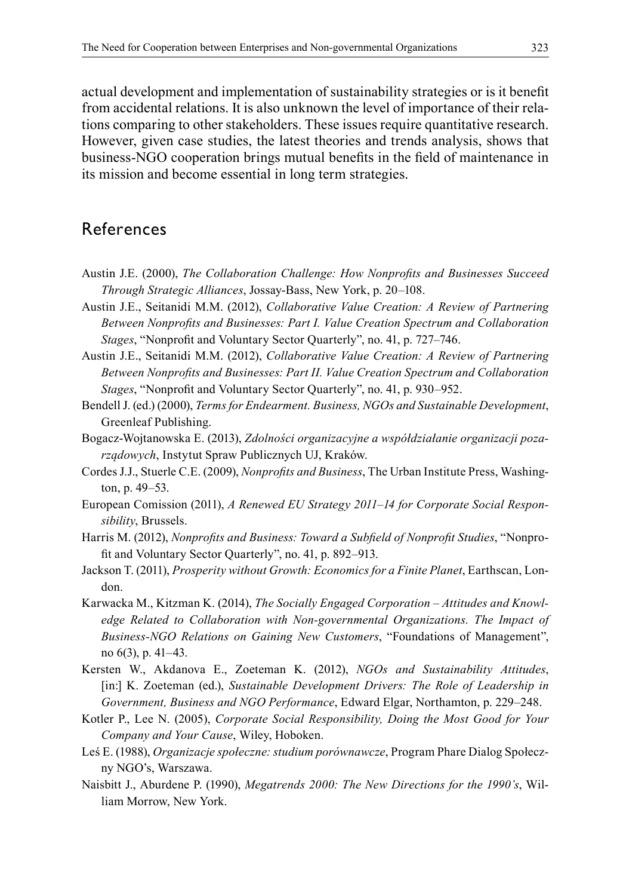actual development and implementation of sustainability strategies or is it benefit from accidental relations. It is also unknown the level of importance of their relations comparing to other stakeholders. These issues require quantitative research. However, given case studies, the latest theories and trends analysis, shows that business-NGO cooperation brings mutual benefits in the field of maintenance in its mission and become essential in long term strategies.

## References

- Austin J.E. (2000), *The Collaboration Challenge: How Nonprofits and Businesses Succeed Through Strategic Alliances*, Jossay-Bass, New York, p. 20–108.
- Austin J.E., Seitanidi M.M. (2012), *Collaborative Value Creation: A Review of Partnering Between Nonprofits and Businesses: Part I. Value Creation Spectrum and Collaboration Stages*, "Nonprofit and Voluntary Sector Quarterly", no. 41, p. 727–746.
- Austin J.E., Seitanidi M.M. (2012), *Collaborative Value Creation: A Review of Partnering Between Nonprofits and Businesses: Part II. Value Creation Spectrum and Collaboration Stages*, "Nonprofit and Voluntary Sector Quarterly", no. 41, p. 930–952.
- Bendell J. (ed.) (2000), *Terms for Endearment. Business, NGOs and Sustainable Development*, Greenleaf Publishing.
- Bogacz-Wojtanowska E. (2013), *Zdolności organizacyjne a współdziałanie organizacji pozarządowych*, Instytut Spraw Publicznych UJ, Kraków.
- Cordes J.J., Stuerle C.E. (2009), *Nonprofits and Business*, The Urban Institute Press, Washington, p. 49–53.
- European Comission (2011), *A Renewed EU Strategy 2011–14 for Corporate Social Responsibility*, Brussels.
- Harris M. (2012), *Nonprofits and Business: Toward a Subfield of Nonprofit Studies*, "Nonprofit and Voluntary Sector Quarterly", no. 41, p. 892–913.
- Jackson T. (2011), *Prosperity without Growth: Economics for a Finite Planet*, Earthscan, London.
- Karwacka M., Kitzman K. (2014), *The Socially Engaged Corporation – Attitudes and Knowl*edge Related to Collaboration with Non-governmental Organizations. The Impact of *Business-NGO Relations on Gaining New Customers*, "Foundations of Management", no 6(3), p. 41–43.
- Kersten W., Akdanova E., Zoeteman K. (2012), *NGOs and Sustainability Attitudes*, [in:] K. Zoeteman (ed.), *Sustainable Development Drivers: The Role of Leadership in Government, Business and NGO Performance*, Edward Elgar, Northamton, p. 229–248.
- Kotler P., Lee N. (2005), *Corporate Social Responsibility, Doing the Most Good for Your Company and Your Cause*, Wiley, Hoboken.
- Leś E. (1988), *Organizacje społeczne: studium porównawcze*, Program Phare Dialog Społeczny NGO's, Warszawa.
- Naisbitt J., Aburdene P. (1990), *Megatrends 2000: The New Directions for the 1990's*, William Morrow, New York.